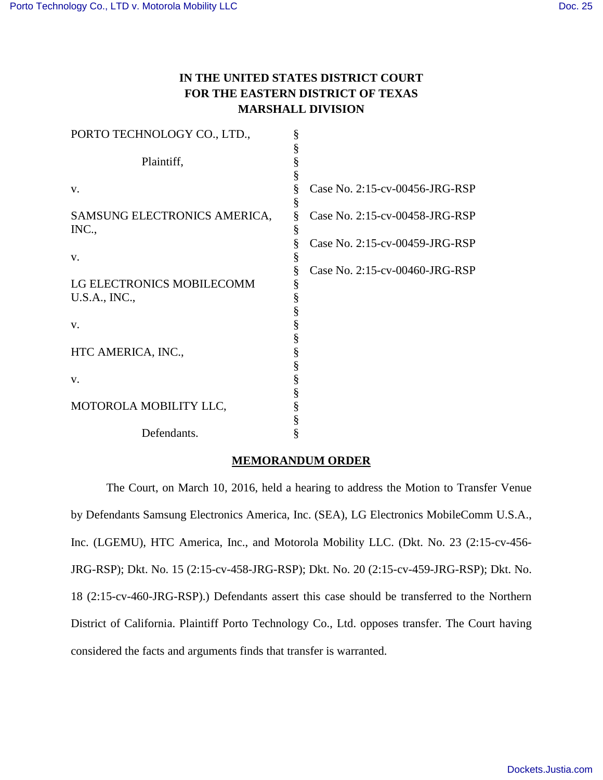## **IN THE UNITED STATES DISTRICT COURT FOR THE EASTERN DISTRICT OF TEXAS MARSHALL DIVISION**

| PORTO TECHNOLOGY CO., LTD.,  | § |                                |
|------------------------------|---|--------------------------------|
|                              | § |                                |
| Plaintiff,                   | § |                                |
|                              | § |                                |
| V.                           | § | Case No. 2:15-cv-00456-JRG-RSP |
|                              | § |                                |
| SAMSUNG ELECTRONICS AMERICA, | ş | Case No. 2:15-cv-00458-JRG-RSP |
| INC.,                        | § |                                |
|                              | § | Case No. 2:15-cv-00459-JRG-RSP |
| V.                           | § |                                |
|                              | § | Case No. 2:15-cv-00460-JRG-RSP |
| LG ELECTRONICS MOBILECOMM    | § |                                |
| U.S.A., INC.,                | § |                                |
|                              | § |                                |
| V.                           | § |                                |
|                              | § |                                |
| HTC AMERICA, INC.,           | § |                                |
|                              | § |                                |
| V.                           | § |                                |
|                              | § |                                |
| MOTOROLA MOBILITY LLC,       | § |                                |
|                              |   |                                |
|                              | § |                                |
| Defendants.                  | § |                                |

## **MEMORANDUM ORDER**

The Court, on March 10, 2016, held a hearing to address the Motion to Transfer Venue by Defendants Samsung Electronics America, Inc. (SEA), LG Electronics MobileComm U.S.A., Inc. (LGEMU), HTC America, Inc., and Motorola Mobility LLC. (Dkt. No. 23 (2:15-cv-456- JRG-RSP); Dkt. No. 15 (2:15-cv-458-JRG-RSP); Dkt. No. 20 (2:15-cv-459-JRG-RSP); Dkt. No. 18 (2:15-cv-460-JRG-RSP).) Defendants assert this case should be transferred to the Northern District of California. Plaintiff Porto Technology Co., Ltd. opposes transfer. The Court having considered the facts and arguments finds that transfer is warranted.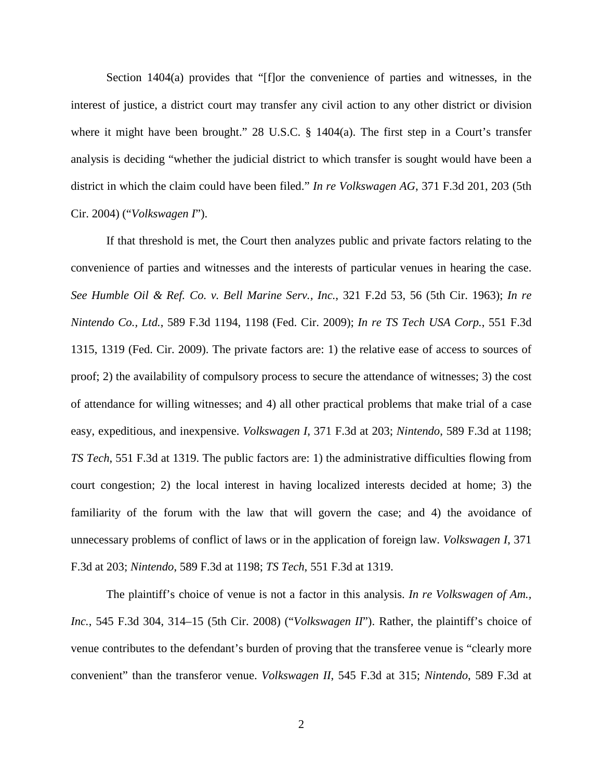Section 1404(a) provides that "[f]or the convenience of parties and witnesses, in the interest of justice, a district court may transfer any civil action to any other district or division where it might have been brought." 28 U.S.C. § 1404(a). The first step in a Court's transfer analysis is deciding "whether the judicial district to which transfer is sought would have been a district in which the claim could have been filed." *In re Volkswagen AG*, 371 F.3d 201, 203 (5th Cir. 2004) ("*Volkswagen I*").

If that threshold is met, the Court then analyzes public and private factors relating to the convenience of parties and witnesses and the interests of particular venues in hearing the case. *See Humble Oil & Ref. Co. v. Bell Marine Serv., Inc.*, 321 F.2d 53, 56 (5th Cir. 1963); *In re Nintendo Co., Ltd.*, 589 F.3d 1194, 1198 (Fed. Cir. 2009); *In re TS Tech USA Corp.*, 551 F.3d 1315, 1319 (Fed. Cir. 2009). The private factors are: 1) the relative ease of access to sources of proof; 2) the availability of compulsory process to secure the attendance of witnesses; 3) the cost of attendance for willing witnesses; and 4) all other practical problems that make trial of a case easy, expeditious, and inexpensive. *Volkswagen I*, 371 F.3d at 203; *Nintendo*, 589 F.3d at 1198; *TS Tech*, 551 F.3d at 1319. The public factors are: 1) the administrative difficulties flowing from court congestion; 2) the local interest in having localized interests decided at home; 3) the familiarity of the forum with the law that will govern the case; and 4) the avoidance of unnecessary problems of conflict of laws or in the application of foreign law. *Volkswagen I*, 371 F.3d at 203; *Nintendo*, 589 F.3d at 1198; *TS Tech*, 551 F.3d at 1319.

The plaintiff's choice of venue is not a factor in this analysis. *In re Volkswagen of Am., Inc.*, 545 F.3d 304, 314–15 (5th Cir. 2008) ("*Volkswagen II*"). Rather, the plaintiff's choice of venue contributes to the defendant's burden of proving that the transferee venue is "clearly more convenient" than the transferor venue. *Volkswagen II*, 545 F.3d at 315; *Nintendo*, 589 F.3d at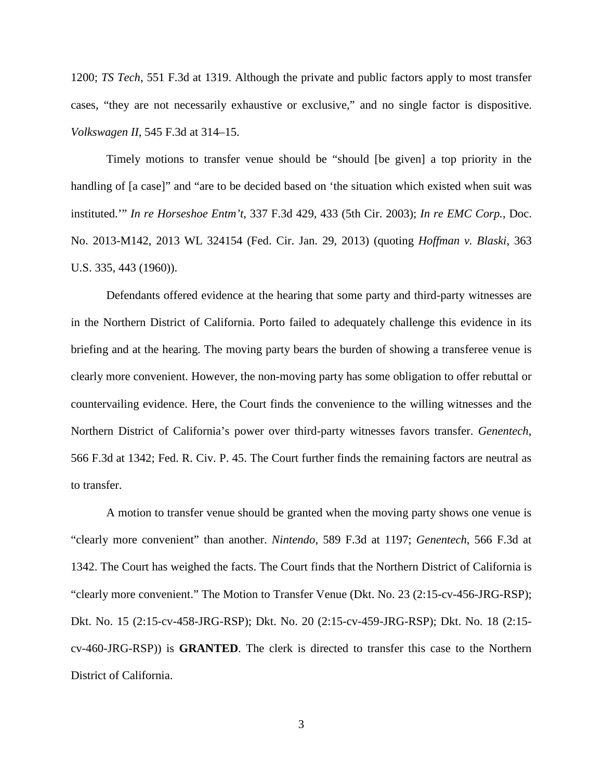1200; *TS Tech*, 551 F.3d at 1319. Although the private and public factors apply to most transfer cases, "they are not necessarily exhaustive or exclusive," and no single factor is dispositive. *Volkswagen II*, 545 F.3d at 314–15.

Timely motions to transfer venue should be "should [be given] a top priority in the handling of [a case]" and "are to be decided based on 'the situation which existed when suit was instituted.'" *In re Horseshoe Entm't*, 337 F.3d 429, 433 (5th Cir. 2003); *In re EMC Corp.*, Doc. No. 2013-M142, 2013 WL 324154 (Fed. Cir. Jan. 29, 2013) (quoting *Hoffman v. Blaski*, 363 U.S. 335, 443 (1960)).

Defendants offered evidence at the hearing that some party and third-party witnesses are in the Northern District of California. Porto failed to adequately challenge this evidence in its briefing and at the hearing. The moving party bears the burden of showing a transferee venue is clearly more convenient. However, the non-moving party has some obligation to offer rebuttal or countervailing evidence. Here, the Court finds the convenience to the willing witnesses and the Northern District of California's power over third-party witnesses favors transfer. *Genentech*, 566 F.3d at 1342; Fed. R. Civ. P. 45. The Court further finds the remaining factors are neutral as to transfer.

A motion to transfer venue should be granted when the moving party shows one venue is "clearly more convenient" than another. *Nintendo*, 589 F.3d at 1197; *Genentech*, 566 F.3d at 1342. The Court has weighed the facts. The Court finds that the Northern District of California is "clearly more convenient." The Motion to Transfer Venue (Dkt. No. 23 (2:15-cv-456-JRG-RSP); Dkt. No. 15 (2:15-cv-458-JRG-RSP); Dkt. No. 20 (2:15-cv-459-JRG-RSP); Dkt. No. 18 (2:15 cv-460-JRG-RSP)) is **GRANTED**. The clerk is directed to transfer this case to the Northern District of California.